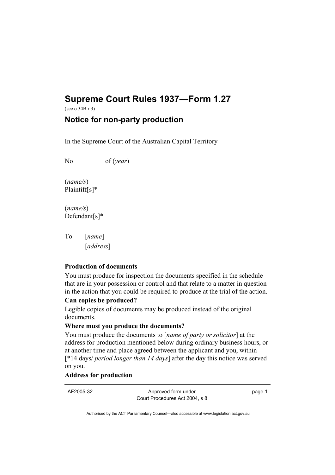# **Supreme Court Rules 1937—Form 1.27**

(see o 34B r 3)

## **Notice for non-party production**

In the Supreme Court of the Australian Capital Territory

No of (*year*)

(*name/s*) Plaintiff[s]\*

(*name/s*) Defendant[s]\*

To [*name*] [*address*]

#### **Production of documents**

You must produce for inspection the documents specified in the schedule that are in your possession or control and that relate to a matter in question in the action that you could be required to produce at the trial of the action.

#### **Can copies be produced?**

Legible copies of documents may be produced instead of the original documents.

## **Where must you produce the documents?**

You must produce the documents to [*name of party or solicitor*] at the address for production mentioned below during ordinary business hours, or at another time and place agreed between the applicant and you, within [\*14 days/ *period longer than 14 days*] after the day this notice was served on you.

#### **Address for production**

AF2005-32 Approved form under Court Procedures Act 2004, s 8 page 1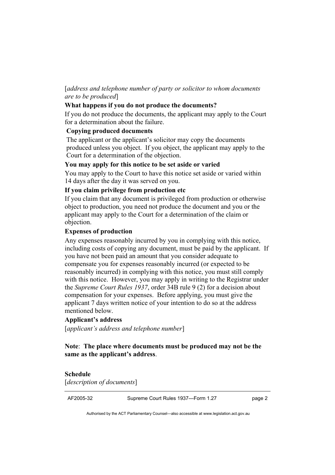## [*address and telephone number of party or solicitor to whom documents are to be produced*]

#### **What happens if you do not produce the documents?**

If you do not produce the documents, the applicant may apply to the Court for a determination about the failure.

#### **Copying produced documents**

The applicant or the applicant's solicitor may copy the documents produced unless you object. If you object, the applicant may apply to the Court for a determination of the objection.

#### **You may apply for this notice to be set aside or varied**

You may apply to the Court to have this notice set aside or varied within 14 days after the day it was served on you.

#### **If you claim privilege from production etc**

If you claim that any document is privileged from production or otherwise object to production, you need not produce the document and you or the applicant may apply to the Court for a determination of the claim or objection.

#### **Expenses of production**

Any expenses reasonably incurred by you in complying with this notice, including costs of copying any document, must be paid by the applicant. If you have not been paid an amount that you consider adequate to compensate you for expenses reasonably incurred (or expected to be reasonably incurred) in complying with this notice, you must still comply with this notice. However, you may apply in writing to the Registrar under the *Supreme Court Rules 1937*, order 34B rule 9 (2) for a decision about compensation for your expenses. Before applying, you must give the applicant 7 days written notice of your intention to do so at the address mentioned below.

#### **Applicant's address**

[*applicant's address and telephone number*]

#### **Note**: **The place where documents must be produced may not be the same as the applicant's address**.

#### **Schedule**

[*description of documents*]

AF2005-32 Supreme Court Rules 1937—Form 1.27 page 2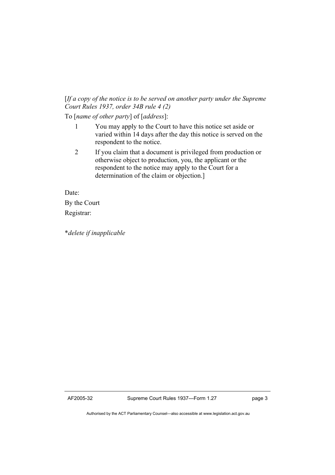### [*If a copy of the notice is to be served on another party under the Supreme Court Rules 1937, order 34B rule 4 (2)*

To [*name of other party*] of [*address*]:

- 1 You may apply to the Court to have this notice set aside or varied within 14 days after the day this notice is served on the respondent to the notice.
- 2 If you claim that a document is privileged from production or otherwise object to production, you, the applicant or the respondent to the notice may apply to the Court for a determination of the claim or objection.]

Date:

By the Court Registrar:

\**delete if inapplicable*